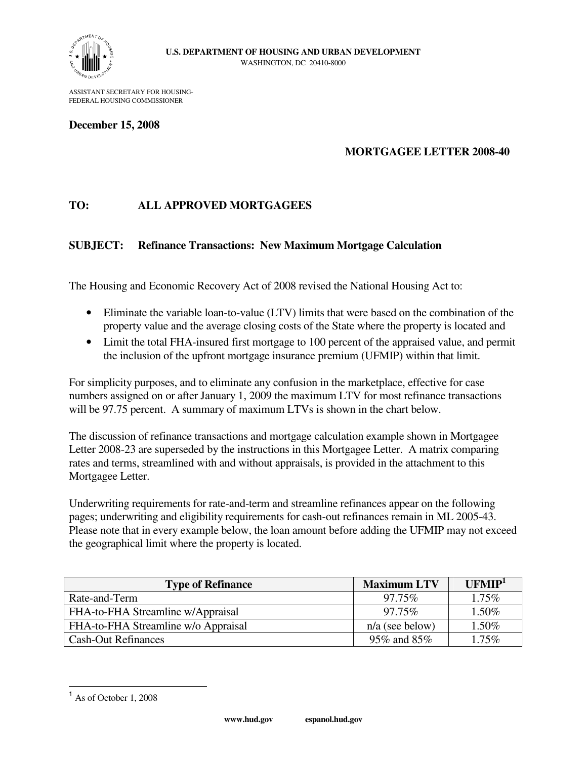

ASSISTANT SECRETARY FOR HOUSING-FEDERAL HOUSING COMMISSIONER

#### **December 15, 2008**

### **MORTGAGEE LETTER 2008-40**

## **TO: ALL APPROVED MORTGAGEES**

### **SUBJECT: Refinance Transactions: New Maximum Mortgage Calculation**

The Housing and Economic Recovery Act of 2008 revised the National Housing Act to:

- Eliminate the variable loan-to-value (LTV) limits that were based on the combination of the property value and the average closing costs of the State where the property is located and
- Limit the total FHA-insured first mortgage to 100 percent of the appraised value, and permit the inclusion of the upfront mortgage insurance premium (UFMIP) within that limit.

For simplicity purposes, and to eliminate any confusion in the marketplace, effective for case numbers assigned on or after January 1, 2009 the maximum LTV for most refinance transactions will be 97.75 percent. A summary of maximum LTVs is shown in the chart below.

The discussion of refinance transactions and mortgage calculation example shown in Mortgagee Letter 2008-23 are superseded by the instructions in this Mortgagee Letter. A matrix comparing rates and terms, streamlined with and without appraisals, is provided in the attachment to this Mortgagee Letter.

Underwriting requirements for rate-and-term and streamline refinances appear on the following pages; underwriting and eligibility requirements for cash-out refinances remain in ML 2005-43. Please note that in every example below, the loan amount before adding the UFMIP may not exceed the geographical limit where the property is located.

| <b>Type of Refinance</b>            | <b>Maximum LTV</b> | UFMIP <sup>1</sup> |
|-------------------------------------|--------------------|--------------------|
| Rate-and-Term                       | 97.75%             | $1.75\%$           |
| FHA-to-FHA Streamline w/Appraisal   | 97.75%             | 1.50%              |
| FHA-to-FHA Streamline w/o Appraisal | $n/a$ (see below)  | 1.50%              |
| <b>Cash-Out Refinances</b>          | 95% and 85%        | $.75\%$            |

 $\overline{a}$  $<sup>1</sup>$  As of October 1, 2008</sup>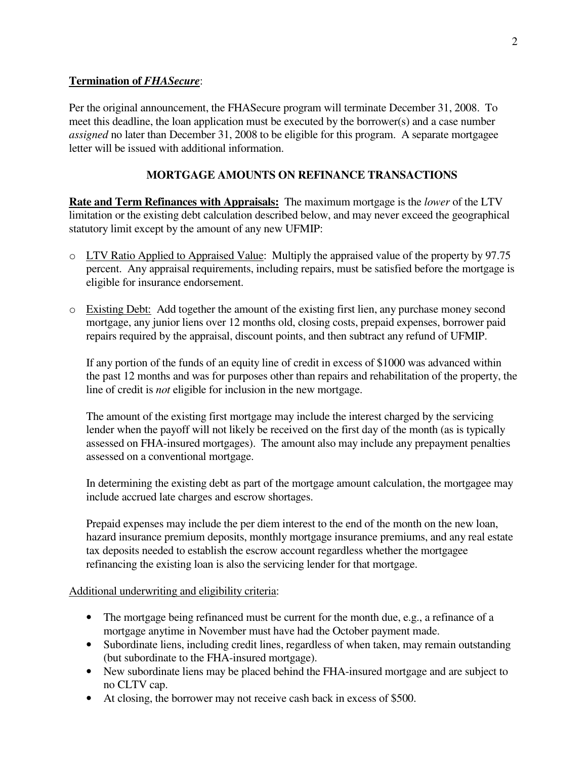## **Termination of** *FHASecure*:

Per the original announcement, the FHASecure program will terminate December 31, 2008. To meet this deadline, the loan application must be executed by the borrower(s) and a case number *assigned* no later than December 31, 2008 to be eligible for this program. A separate mortgagee letter will be issued with additional information.

# **MORTGAGE AMOUNTS ON REFINANCE TRANSACTIONS**

**Rate and Term Refinances with Appraisals:** The maximum mortgage is the *lower* of the LTV limitation or the existing debt calculation described below, and may never exceed the geographical statutory limit except by the amount of any new UFMIP:

- o LTV Ratio Applied to Appraised Value: Multiply the appraised value of the property by 97.75 percent. Any appraisal requirements, including repairs, must be satisfied before the mortgage is eligible for insurance endorsement.
- o Existing Debt: Add together the amount of the existing first lien, any purchase money second mortgage, any junior liens over 12 months old, closing costs, prepaid expenses, borrower paid repairs required by the appraisal, discount points, and then subtract any refund of UFMIP.

If any portion of the funds of an equity line of credit in excess of \$1000 was advanced within the past 12 months and was for purposes other than repairs and rehabilitation of the property, the line of credit is *not* eligible for inclusion in the new mortgage.

The amount of the existing first mortgage may include the interest charged by the servicing lender when the payoff will not likely be received on the first day of the month (as is typically assessed on FHA-insured mortgages). The amount also may include any prepayment penalties assessed on a conventional mortgage.

In determining the existing debt as part of the mortgage amount calculation, the mortgagee may include accrued late charges and escrow shortages.

Prepaid expenses may include the per diem interest to the end of the month on the new loan, hazard insurance premium deposits, monthly mortgage insurance premiums, and any real estate tax deposits needed to establish the escrow account regardless whether the mortgagee refinancing the existing loan is also the servicing lender for that mortgage.

Additional underwriting and eligibility criteria:

- The mortgage being refinanced must be current for the month due, e.g., a refinance of a mortgage anytime in November must have had the October payment made.
- Subordinate liens, including credit lines, regardless of when taken, may remain outstanding (but subordinate to the FHA-insured mortgage).
- New subordinate liens may be placed behind the FHA-insured mortgage and are subject to no CLTV cap.
- At closing, the borrower may not receive cash back in excess of \$500.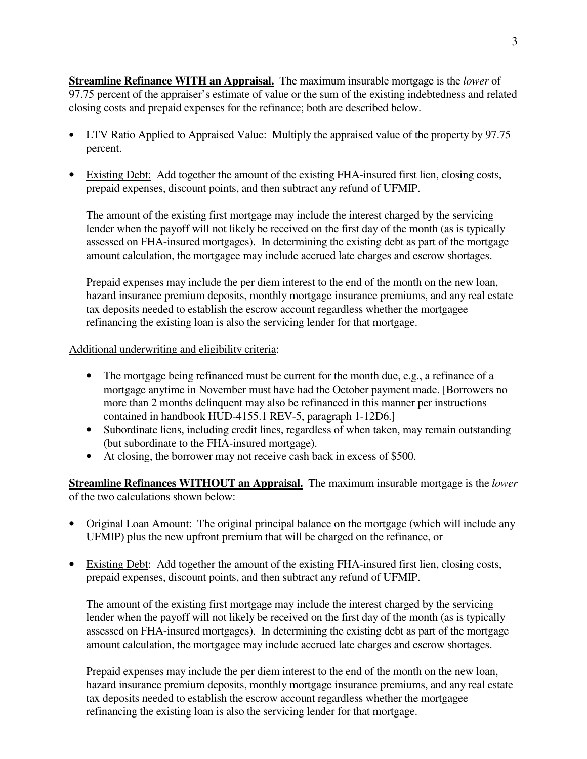**Streamline Refinance WITH an Appraisal.** The maximum insurable mortgage is the *lower* of 97.75 percent of the appraiser's estimate of value or the sum of the existing indebtedness and related closing costs and prepaid expenses for the refinance; both are described below.

- LTV Ratio Applied to Appraised Value: Multiply the appraised value of the property by 97.75 percent.
- Existing Debt: Add together the amount of the existing FHA-insured first lien, closing costs, prepaid expenses, discount points, and then subtract any refund of UFMIP.

The amount of the existing first mortgage may include the interest charged by the servicing lender when the payoff will not likely be received on the first day of the month (as is typically assessed on FHA-insured mortgages). In determining the existing debt as part of the mortgage amount calculation, the mortgagee may include accrued late charges and escrow shortages.

Prepaid expenses may include the per diem interest to the end of the month on the new loan, hazard insurance premium deposits, monthly mortgage insurance premiums, and any real estate tax deposits needed to establish the escrow account regardless whether the mortgagee refinancing the existing loan is also the servicing lender for that mortgage.

### Additional underwriting and eligibility criteria:

- The mortgage being refinanced must be current for the month due, e.g., a refinance of a mortgage anytime in November must have had the October payment made. [Borrowers no more than 2 months delinquent may also be refinanced in this manner per instructions contained in handbook HUD-4155.1 REV-5, paragraph 1-12D6.]
- Subordinate liens, including credit lines, regardless of when taken, may remain outstanding (but subordinate to the FHA-insured mortgage).
- At closing, the borrower may not receive cash back in excess of \$500.

**Streamline Refinances WITHOUT an Appraisal.** The maximum insurable mortgage is the *lower* of the two calculations shown below:

- Original Loan Amount: The original principal balance on the mortgage (which will include any UFMIP) plus the new upfront premium that will be charged on the refinance, or
- Existing Debt: Add together the amount of the existing FHA-insured first lien, closing costs, prepaid expenses, discount points, and then subtract any refund of UFMIP.

The amount of the existing first mortgage may include the interest charged by the servicing lender when the payoff will not likely be received on the first day of the month (as is typically assessed on FHA-insured mortgages). In determining the existing debt as part of the mortgage amount calculation, the mortgagee may include accrued late charges and escrow shortages.

Prepaid expenses may include the per diem interest to the end of the month on the new loan, hazard insurance premium deposits, monthly mortgage insurance premiums, and any real estate tax deposits needed to establish the escrow account regardless whether the mortgagee refinancing the existing loan is also the servicing lender for that mortgage.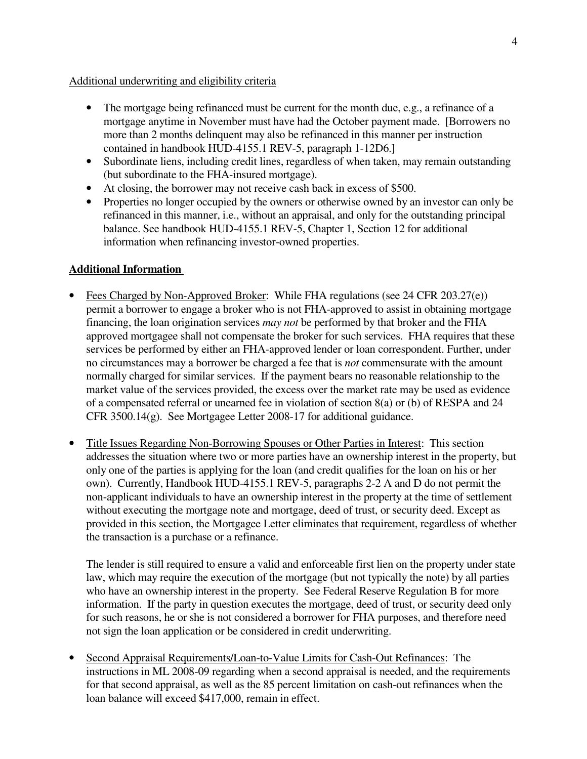### Additional underwriting and eligibility criteria

- The mortgage being refinanced must be current for the month due, e.g., a refinance of a mortgage anytime in November must have had the October payment made. [Borrowers no more than 2 months delinquent may also be refinanced in this manner per instruction contained in handbook HUD-4155.1 REV-5, paragraph 1-12D6.]
- Subordinate liens, including credit lines, regardless of when taken, may remain outstanding (but subordinate to the FHA-insured mortgage).
- At closing, the borrower may not receive cash back in excess of \$500.
- Properties no longer occupied by the owners or otherwise owned by an investor can only be refinanced in this manner, i.e., without an appraisal, and only for the outstanding principal balance. See handbook HUD-4155.1 REV-5, Chapter 1, Section 12 for additional information when refinancing investor-owned properties.

## **Additional Information**

- Fees Charged by Non-Approved Broker: While FHA regulations (see 24 CFR 203.27(e)) permit a borrower to engage a broker who is not FHA-approved to assist in obtaining mortgage financing, the loan origination services *may not* be performed by that broker and the FHA approved mortgagee shall not compensate the broker for such services. FHA requires that these services be performed by either an FHA-approved lender or loan correspondent. Further, under no circumstances may a borrower be charged a fee that is *not* commensurate with the amount normally charged for similar services. If the payment bears no reasonable relationship to the market value of the services provided, the excess over the market rate may be used as evidence of a compensated referral or unearned fee in violation of section 8(a) or (b) of RESPA and 24 CFR 3500.14(g). See Mortgagee Letter 2008-17 for additional guidance.
- Title Issues Regarding Non-Borrowing Spouses or Other Parties in Interest: This section addresses the situation where two or more parties have an ownership interest in the property, but only one of the parties is applying for the loan (and credit qualifies for the loan on his or her own). Currently, Handbook HUD-4155.1 REV-5, paragraphs 2-2 A and D do not permit the non-applicant individuals to have an ownership interest in the property at the time of settlement without executing the mortgage note and mortgage, deed of trust, or security deed. Except as provided in this section, the Mortgagee Letter eliminates that requirement, regardless of whether the transaction is a purchase or a refinance.

The lender is still required to ensure a valid and enforceable first lien on the property under state law, which may require the execution of the mortgage (but not typically the note) by all parties who have an ownership interest in the property. See Federal Reserve Regulation B for more information. If the party in question executes the mortgage, deed of trust, or security deed only for such reasons, he or she is not considered a borrower for FHA purposes, and therefore need not sign the loan application or be considered in credit underwriting.

• Second Appraisal Requirements/Loan-to-Value Limits for Cash-Out Refinances: The instructions in ML 2008-09 regarding when a second appraisal is needed, and the requirements for that second appraisal, as well as the 85 percent limitation on cash-out refinances when the loan balance will exceed \$417,000, remain in effect.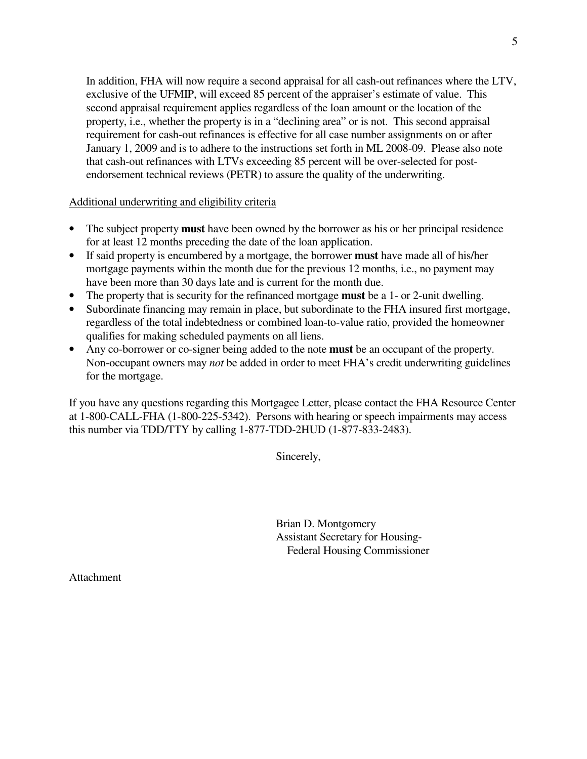In addition, FHA will now require a second appraisal for all cash-out refinances where the LTV, exclusive of the UFMIP, will exceed 85 percent of the appraiser's estimate of value. This second appraisal requirement applies regardless of the loan amount or the location of the property, i.e., whether the property is in a "declining area" or is not. This second appraisal requirement for cash-out refinances is effective for all case number assignments on or after January 1, 2009 and is to adhere to the instructions set forth in ML 2008-09. Please also note that cash-out refinances with LTVs exceeding 85 percent will be over-selected for postendorsement technical reviews (PETR) to assure the quality of the underwriting.

Additional underwriting and eligibility criteria

- The subject property **must** have been owned by the borrower as his or her principal residence for at least 12 months preceding the date of the loan application.
- If said property is encumbered by a mortgage, the borrower **must** have made all of his/her mortgage payments within the month due for the previous 12 months, i.e., no payment may have been more than 30 days late and is current for the month due.
- The property that is security for the refinanced mortgage **must** be a 1- or 2-unit dwelling.
- Subordinate financing may remain in place, but subordinate to the FHA insured first mortgage, regardless of the total indebtedness or combined loan-to-value ratio, provided the homeowner qualifies for making scheduled payments on all liens.
- Any co-borrower or co-signer being added to the note **must** be an occupant of the property. Non-occupant owners may *not* be added in order to meet FHA's credit underwriting guidelines for the mortgage.

If you have any questions regarding this Mortgagee Letter, please contact the FHA Resource Center at 1-800-CALL-FHA (1-800-225-5342). Persons with hearing or speech impairments may access this number via TDD/TTY by calling 1-877-TDD-2HUD (1-877-833-2483).

Sincerely,

 Brian D. Montgomery Assistant Secretary for Housing- Federal Housing Commissioner

Attachment